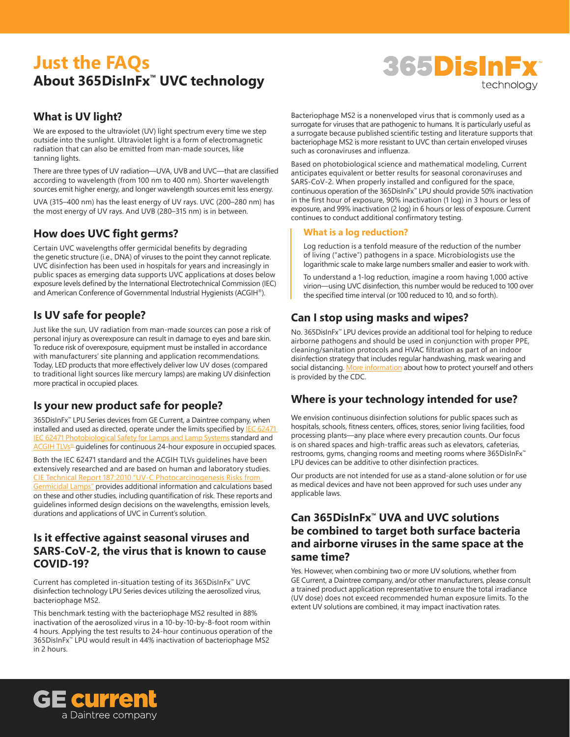# **Just the FAQs About 365DisInFx™ UVC technology**

# 365DisInFx technology

## **What is UV light?**

We are exposed to the ultraviolet (UV) light spectrum every time we step outside into the sunlight. Ultraviolet light is a form of electromagnetic radiation that can also be emitted from man-made sources, like tanning lights.

There are three types of UV radiation—UVA, UVB and UVC—that are classified according to wavelength (from 100 nm to 400 nm). Shorter wavelength sources emit higher energy, and longer wavelength sources emit less energy.

UVA (315–400 nm) has the least energy of UV rays. UVC (200–280 nm) has the most energy of UV rays. And UVB (280–315 nm) is in between.

## **How does UVC fight germs?**

Certain UVC wavelengths offer germicidal benefits by degrading the genetic structure (i.e., DNA) of viruses to the point they cannot replicate. UVC disinfection has been used in hospitals for years and increasingly in public spaces as emerging data supports UVC applications at doses below exposure levels defined by the International Electrotechnical Commission (IEC) and American Conference of Governmental Industrial Hygienists (ACGIH®).

## **Is UV safe for people?**

Just like the sun, UV radiation from man-made sources can pose a risk of personal injury as overexposure can result in damage to eyes and bare skin. To reduce risk of overexposure, equipment must be installed in accordance with manufacturers' site planning and application recommendations. Today, LED products that more effectively deliver low UV doses (compared to traditional light sources like mercury lamps) are making UV disinfection more practical in occupied places.

## **Is your new product safe for people?**

365DisInFx™ LPU Series devices from GE Current, a Daintree company, when installed and used as directed, operate under the limits specified by **IEC 62471** IEC 62471 Photobiological Safety for Lamps and Lamp Systems standard and ACGIH TLV<sub>S®</sub> quidelines for continuous 24-hour exposure in occupied spaces.

Both the IEC 62471 standard and the ACGIH TLVs guidelines have been extensively researched and are based on human and laboratory studies. [CIE Technical Report 187:2010 "UV-C Photocarcinogenesis Risks from](http://cie.co.at/publications/uv-c-photocarcinogenesis-risks-germicidal-lamps)  [Germicidal Lamps"](http://cie.co.at/publications/uv-c-photocarcinogenesis-risks-germicidal-lamps) provides additional information and calculations based on these and other studies, including quantification of risk. These reports and guidelines informed design decisions on the wavelengths, emission levels, durations and applications of UVC in Current's solution.

## **Is it effective against seasonal viruses and SARS-CoV-2, the virus that is known to cause COVID-19?**

Current has completed in-situation testing of its 365DisInFx™ UVC disinfection technology LPU Series devices utilizing the aerosolized virus, bacteriophage MS2.

This benchmark testing with the bacteriophage MS2 resulted in 88% inactivation of the aerosolized virus in a 10-by-10-by-8-foot room within 4 hours. Applying the test results to 24-hour continuous operation of the 365DisInFx™ LPU would result in 44% inactivation of bacteriophage MS2 in 2 hours.

Bacteriophage MS2 is a nonenveloped virus that is commonly used as a surrogate for viruses that are pathogenic to humans. It is particularly useful as a surrogate because published scientific testing and literature supports that bacteriophage MS2 is more resistant to UVC than certain enveloped viruses such as coronaviruses and influenza.

Based on photobiological science and mathematical modeling, Current anticipates equivalent or better results for seasonal coronaviruses and SARS-CoV-2. When properly installed and configured for the space, continuous operation of the 365DisInFx™ LPU should provide 50% inactivation in the first hour of exposure, 90% inactivation (1 log) in 3 hours or less of exposure, and 99% inactivation (2 log) in 6 hours or less of exposure. Current continues to conduct additional confirmatory testing.

#### **What is a log reduction?**

Log reduction is a tenfold measure of the reduction of the number of living ("active") pathogens in a space. Microbiologists use the logarithmic scale to make large numbers smaller and easier to work with.

To understand a 1-log reduction, imagine a room having 1,000 active virion―using UVC disinfection, this number would be reduced to 100 over the specified time interval (or 100 reduced to 10, and so forth).

## **Can I stop using masks and wipes?**

No. 365DisInFx™ LPU devices provide an additional tool for helping to reduce airborne pathogens and should be used in conjunction with proper PPE, cleaning/sanitation protocols and HVAC filtration as part of an indoor disinfection strategy that includes regular handwashing, mask wearing and social distancing. [More information](https://www.cdc.gov/coronavirus/2019-ncov/prevent-getting-sick/prevention.html) about how to protect yourself and others is provided by the CDC.

## **Where is your technology intended for use?**

We envision continuous disinfection solutions for public spaces such as hospitals, schools, fitness centers, offices, stores, senior living facilities, food processing plants―any place where every precaution counts. Our focus is on shared spaces and high-traffic areas such as elevators, cafeterias, restrooms, gyms, changing rooms and meeting rooms where 365DisInFx<sup>™</sup> LPU devices can be additive to other disinfection practices.

Our products are not intended for use as a stand-alone solution or for use as medical devices and have not been approved for such uses under any applicable laws.

## **Can 365DisInFx™ UVA and UVC solutions be combined to target both surface bacteria and airborne viruses in the same space at the same time?**

Yes. However, when combining two or more UV solutions, whether from GE Current, a Daintree company, and/or other manufacturers, please consult a trained product application representative to ensure the total irradiance (UV dose) does not exceed recommended human exposure limits. To the extent UV solutions are combined, it may impact inactivation rates.